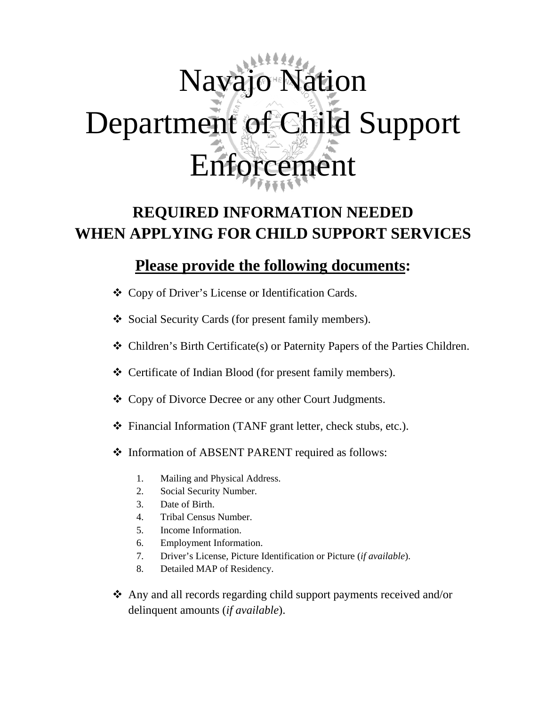# Navajo Nation Department of Child Support Enforcement

# **REQUIRED INFORMATION NEEDED WHEN APPLYING FOR CHILD SUPPORT SERVICES**

## **Please provide the following documents:**

- Copy of Driver's License or Identification Cards.
- Social Security Cards (for present family members).
- Children's Birth Certificate(s) or Paternity Papers of the Parties Children.
- Certificate of Indian Blood (for present family members).
- Copy of Divorce Decree or any other Court Judgments.
- Financial Information (TANF grant letter, check stubs, etc.).
- $\triangleleft$  Information of ABSENT PARENT required as follows:
	- 1. Mailing and Physical Address.
	- 2. Social Security Number.
	- 3. Date of Birth.
	- 4. Tribal Census Number.
	- 5. Income Information.
	- 6. Employment Information.
	- 7. Driver's License, Picture Identification or Picture (*if available*).
	- 8. Detailed MAP of Residency.
- Any and all records regarding child support payments received and/or delinquent amounts (*if available*).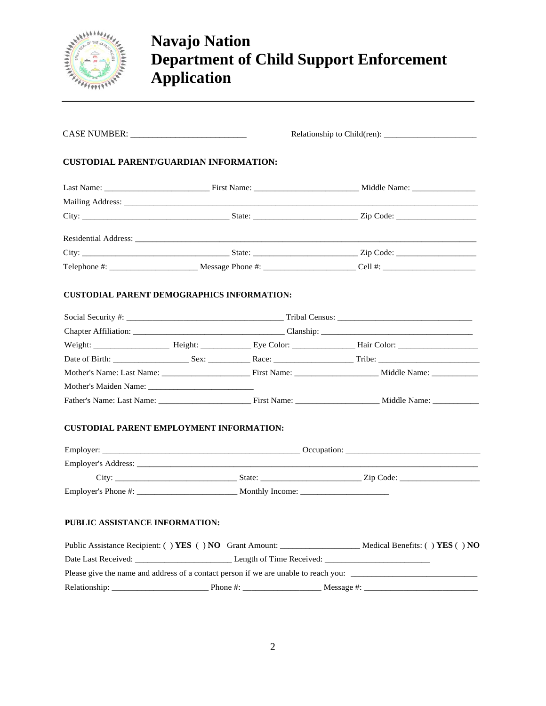

# **Navajo Nation Department of Child Support Enforcement Application**

| <b>CUSTODIAL PARENT/GUARDIAN INFORMATION:</b><br><b>CUSTODIAL PARENT EMPLOYMENT INFORMATION:</b><br>PUBLIC ASSISTANCE INFORMATION:<br>Public Assistance Recipient: () YES () NO Grant Amount: ________________________ Medical Benefits: () YES () NO                               |  |  |  |  |  |  |
|-------------------------------------------------------------------------------------------------------------------------------------------------------------------------------------------------------------------------------------------------------------------------------------|--|--|--|--|--|--|
|                                                                                                                                                                                                                                                                                     |  |  |  |  |  |  |
|                                                                                                                                                                                                                                                                                     |  |  |  |  |  |  |
|                                                                                                                                                                                                                                                                                     |  |  |  |  |  |  |
| Residential Address: No. 1996. The Contract of the Contract of the Contract of the Contract of the Contract of the Contract of the Contract of the Contract of the Contract of the Contract of the Contract of the Contract of<br><b>CUSTODIAL PARENT DEMOGRAPHICS INFORMATION:</b> |  |  |  |  |  |  |
|                                                                                                                                                                                                                                                                                     |  |  |  |  |  |  |
|                                                                                                                                                                                                                                                                                     |  |  |  |  |  |  |
|                                                                                                                                                                                                                                                                                     |  |  |  |  |  |  |
|                                                                                                                                                                                                                                                                                     |  |  |  |  |  |  |
|                                                                                                                                                                                                                                                                                     |  |  |  |  |  |  |
|                                                                                                                                                                                                                                                                                     |  |  |  |  |  |  |
|                                                                                                                                                                                                                                                                                     |  |  |  |  |  |  |
|                                                                                                                                                                                                                                                                                     |  |  |  |  |  |  |
|                                                                                                                                                                                                                                                                                     |  |  |  |  |  |  |
|                                                                                                                                                                                                                                                                                     |  |  |  |  |  |  |
|                                                                                                                                                                                                                                                                                     |  |  |  |  |  |  |
|                                                                                                                                                                                                                                                                                     |  |  |  |  |  |  |
|                                                                                                                                                                                                                                                                                     |  |  |  |  |  |  |
|                                                                                                                                                                                                                                                                                     |  |  |  |  |  |  |
|                                                                                                                                                                                                                                                                                     |  |  |  |  |  |  |
|                                                                                                                                                                                                                                                                                     |  |  |  |  |  |  |
|                                                                                                                                                                                                                                                                                     |  |  |  |  |  |  |
|                                                                                                                                                                                                                                                                                     |  |  |  |  |  |  |
|                                                                                                                                                                                                                                                                                     |  |  |  |  |  |  |
|                                                                                                                                                                                                                                                                                     |  |  |  |  |  |  |
|                                                                                                                                                                                                                                                                                     |  |  |  |  |  |  |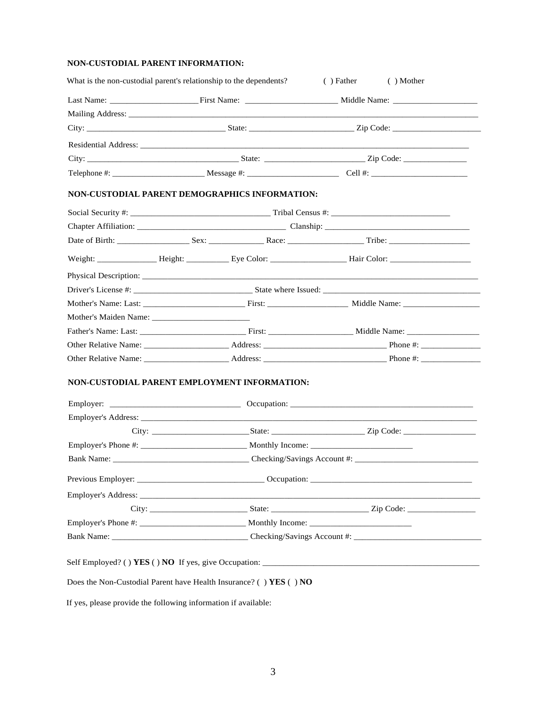## **NON-CUSTODIAL PARENT INFORMATION:**

| NON-CUSTODIAL PARENT DEMOGRAPHICS INFORMATION: |  |  |  |  |  |
|------------------------------------------------|--|--|--|--|--|
|                                                |  |  |  |  |  |
|                                                |  |  |  |  |  |
|                                                |  |  |  |  |  |
|                                                |  |  |  |  |  |
|                                                |  |  |  |  |  |
|                                                |  |  |  |  |  |
|                                                |  |  |  |  |  |
|                                                |  |  |  |  |  |
|                                                |  |  |  |  |  |
|                                                |  |  |  |  |  |
|                                                |  |  |  |  |  |
|                                                |  |  |  |  |  |
| NON-CUSTODIAL PARENT EMPLOYMENT INFORMATION:   |  |  |  |  |  |
|                                                |  |  |  |  |  |
|                                                |  |  |  |  |  |
|                                                |  |  |  |  |  |
|                                                |  |  |  |  |  |
|                                                |  |  |  |  |  |
|                                                |  |  |  |  |  |
|                                                |  |  |  |  |  |

If yes, please provide the following information if available: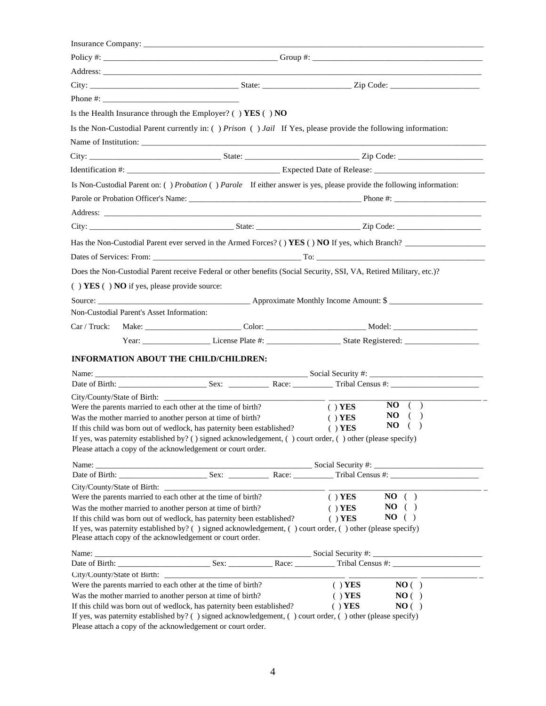| Is the Health Insurance through the Employer? ( ) $YES( ) NO$                                                                                                                                                                  |                                                                                         |                        |          |
|--------------------------------------------------------------------------------------------------------------------------------------------------------------------------------------------------------------------------------|-----------------------------------------------------------------------------------------|------------------------|----------|
| Is the Non-Custodial Parent currently in: () Prison () Jail If Yes, please provide the following information:                                                                                                                  |                                                                                         |                        |          |
|                                                                                                                                                                                                                                |                                                                                         |                        |          |
|                                                                                                                                                                                                                                |                                                                                         |                        |          |
|                                                                                                                                                                                                                                |                                                                                         |                        |          |
| Is Non-Custodial Parent on: () Probation () Parole If either answer is yes, please provide the following information:                                                                                                          |                                                                                         |                        |          |
|                                                                                                                                                                                                                                |                                                                                         |                        |          |
|                                                                                                                                                                                                                                |                                                                                         |                        |          |
|                                                                                                                                                                                                                                |                                                                                         |                        |          |
| Has the Non-Custodial Parent ever served in the Armed Forces? () YES () NO If yes, which Branch?                                                                                                                               |                                                                                         |                        |          |
|                                                                                                                                                                                                                                |                                                                                         |                        |          |
|                                                                                                                                                                                                                                |                                                                                         |                        |          |
| Does the Non-Custodial Parent receive Federal or other benefits (Social Security, SSI, VA, Retired Military, etc.)?                                                                                                            |                                                                                         |                        |          |
| () YES () NO if yes, please provide source:                                                                                                                                                                                    |                                                                                         |                        |          |
|                                                                                                                                                                                                                                |                                                                                         |                        |          |
| Non-Custodial Parent's Asset Information:                                                                                                                                                                                      |                                                                                         |                        |          |
|                                                                                                                                                                                                                                |                                                                                         |                        |          |
|                                                                                                                                                                                                                                |                                                                                         |                        |          |
| <b>INFORMATION ABOUT THE CHILD/CHILDREN:</b>                                                                                                                                                                                   |                                                                                         |                        |          |
|                                                                                                                                                                                                                                |                                                                                         |                        |          |
| Date of Birth: Sex: Sex: Next, Race: Tribal Census #: Next, 2014                                                                                                                                                               |                                                                                         |                        |          |
|                                                                                                                                                                                                                                |                                                                                         |                        | $NO$ ( ) |
| Were the parents married to each other at the time of birth?<br>Was the mother married to another person at time of birth?                                                                                                     |                                                                                         | $( )$ YES<br>$( )$ YES | $NO$ ( ) |
| If this child was born out of wedlock, has paternity been established?                                                                                                                                                         |                                                                                         | $( )$ YES              | $NO$ ( ) |
| If yes, was paternity established by? ( ) signed acknowledgement, ( ) court order, ( ) other (please specify)                                                                                                                  |                                                                                         |                        |          |
| Please attach a copy of the acknowledgement or court order.                                                                                                                                                                    |                                                                                         |                        |          |
|                                                                                                                                                                                                                                |                                                                                         |                        |          |
|                                                                                                                                                                                                                                |                                                                                         |                        |          |
| Were the parents married to each other at the time of birth?                                                                                                                                                                   |                                                                                         | $( )$ YES              | $NO$ ( ) |
| Was the mother married to another person at time of birth?                                                                                                                                                                     |                                                                                         | $( )$ YES              | $NO$ ( ) |
| If this child was born out of wedlock, has paternity been established?                                                                                                                                                         |                                                                                         | $( )$ YES              | $NO$ ( ) |
| If yes, was paternity established by? () signed acknowledgement, () court order, () other (please specify)                                                                                                                     |                                                                                         |                        |          |
| Please attach copy of the acknowledgement or court order.                                                                                                                                                                      |                                                                                         |                        |          |
| Name: Social Security #: Social Security #: Social Security #: Social Security #: Social Security #: Social Security #: Sex: Social Security #: Social Security #: Social Security #: Social Security #: Social Security #: So |                                                                                         |                        |          |
|                                                                                                                                                                                                                                |                                                                                         |                        |          |
| Were the parents married to each other at the time of birth?                                                                                                                                                                   |                                                                                         | $( )$ YES              | NO( )    |
| Was the mother married to another person at time of birth?                                                                                                                                                                     |                                                                                         | $( )$ YES              | NO( )    |
| If this child was born out of wedlock, has paternity been established?                                                                                                                                                         |                                                                                         | $( )$ YES              | NO( )    |
| If yes, was paternity established by? () signed acknowledgement, () court order, () other (please specify)                                                                                                                     | Denote the dependence of the column of decreed and contract on the set of $\mathcal{L}$ |                        |          |

Please attach a copy of the acknowledgement or court order.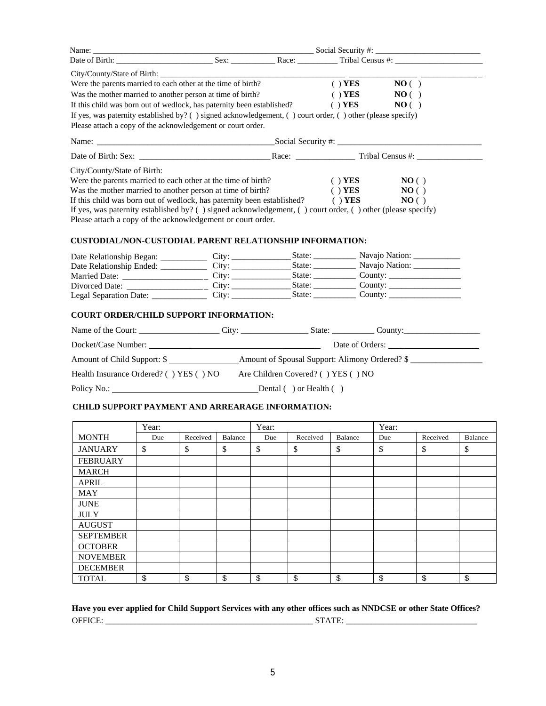| Date of Birth: Sex: Sex: Race: Tribal Census #:<br>NO( )<br>Were the parents married to each other at the time of birth?<br>$( )$ YES<br>Was the mother married to another person at time of birth?<br>$( )$ YES<br>NO( )<br>If this child was born out of wedlock, has paternity been established?<br>$( )$ YES<br>NO( )<br>If yes, was paternity established by? () signed acknowledgement, () court order, () other (please specify)<br>Please attach a copy of the acknowledgement or court order.<br>City/County/State of Birth:<br>Were the parents married to each other at the time of birth?<br>$( )$ YES<br>NO()<br>$( )$ YES<br>Was the mother married to another person at time of birth?<br>NO( )<br>If this child was born out of wedlock, has paternity been established? $( )$ <b>YES</b><br>NO( )<br>If yes, was paternity established by? () signed acknowledgement, () court order, () other (please specify)<br>Please attach a copy of the acknowledgement or court order.<br><b>CUSTODIAL/NON-CUSTODIAL PARENT RELATIONSHIP INFORMATION:</b><br>State: Navajo Nation: ___________<br><b>COURT ORDER/CHILD SUPPORT INFORMATION:</b><br>Health Insurance Ordered? () YES () NO Are Children Covered? () YES () NO<br>Policy No.: Dental ( ) or Health ( )<br><b>CHILD SUPPORT PAYMENT AND ARREARAGE INFORMATION:</b><br>Year:<br>Year:<br>Year:<br><b>MONTH</b><br>Due Received Balance<br>Received<br>Due<br>Received Balance<br>Due<br>Balance<br>\$<br>\$<br>\$<br>\$<br>\$<br>\$<br>\$<br>$\mathbb{S}$<br>\$<br><b>JANUARY</b><br><b>FEBRUARY</b><br><b>MARCH</b><br><b>APRIL</b><br>MAY<br><b>JUNE</b> |  |  |  |  |  |  |  |  |  |
|---------------------------------------------------------------------------------------------------------------------------------------------------------------------------------------------------------------------------------------------------------------------------------------------------------------------------------------------------------------------------------------------------------------------------------------------------------------------------------------------------------------------------------------------------------------------------------------------------------------------------------------------------------------------------------------------------------------------------------------------------------------------------------------------------------------------------------------------------------------------------------------------------------------------------------------------------------------------------------------------------------------------------------------------------------------------------------------------------------------------------------------------------------------------------------------------------------------------------------------------------------------------------------------------------------------------------------------------------------------------------------------------------------------------------------------------------------------------------------------------------------------------------------------------------------------------------------------------------------------------------------|--|--|--|--|--|--|--|--|--|
|                                                                                                                                                                                                                                                                                                                                                                                                                                                                                                                                                                                                                                                                                                                                                                                                                                                                                                                                                                                                                                                                                                                                                                                                                                                                                                                                                                                                                                                                                                                                                                                                                                 |  |  |  |  |  |  |  |  |  |
|                                                                                                                                                                                                                                                                                                                                                                                                                                                                                                                                                                                                                                                                                                                                                                                                                                                                                                                                                                                                                                                                                                                                                                                                                                                                                                                                                                                                                                                                                                                                                                                                                                 |  |  |  |  |  |  |  |  |  |
|                                                                                                                                                                                                                                                                                                                                                                                                                                                                                                                                                                                                                                                                                                                                                                                                                                                                                                                                                                                                                                                                                                                                                                                                                                                                                                                                                                                                                                                                                                                                                                                                                                 |  |  |  |  |  |  |  |  |  |
|                                                                                                                                                                                                                                                                                                                                                                                                                                                                                                                                                                                                                                                                                                                                                                                                                                                                                                                                                                                                                                                                                                                                                                                                                                                                                                                                                                                                                                                                                                                                                                                                                                 |  |  |  |  |  |  |  |  |  |
|                                                                                                                                                                                                                                                                                                                                                                                                                                                                                                                                                                                                                                                                                                                                                                                                                                                                                                                                                                                                                                                                                                                                                                                                                                                                                                                                                                                                                                                                                                                                                                                                                                 |  |  |  |  |  |  |  |  |  |
|                                                                                                                                                                                                                                                                                                                                                                                                                                                                                                                                                                                                                                                                                                                                                                                                                                                                                                                                                                                                                                                                                                                                                                                                                                                                                                                                                                                                                                                                                                                                                                                                                                 |  |  |  |  |  |  |  |  |  |
|                                                                                                                                                                                                                                                                                                                                                                                                                                                                                                                                                                                                                                                                                                                                                                                                                                                                                                                                                                                                                                                                                                                                                                                                                                                                                                                                                                                                                                                                                                                                                                                                                                 |  |  |  |  |  |  |  |  |  |
|                                                                                                                                                                                                                                                                                                                                                                                                                                                                                                                                                                                                                                                                                                                                                                                                                                                                                                                                                                                                                                                                                                                                                                                                                                                                                                                                                                                                                                                                                                                                                                                                                                 |  |  |  |  |  |  |  |  |  |
|                                                                                                                                                                                                                                                                                                                                                                                                                                                                                                                                                                                                                                                                                                                                                                                                                                                                                                                                                                                                                                                                                                                                                                                                                                                                                                                                                                                                                                                                                                                                                                                                                                 |  |  |  |  |  |  |  |  |  |
|                                                                                                                                                                                                                                                                                                                                                                                                                                                                                                                                                                                                                                                                                                                                                                                                                                                                                                                                                                                                                                                                                                                                                                                                                                                                                                                                                                                                                                                                                                                                                                                                                                 |  |  |  |  |  |  |  |  |  |
|                                                                                                                                                                                                                                                                                                                                                                                                                                                                                                                                                                                                                                                                                                                                                                                                                                                                                                                                                                                                                                                                                                                                                                                                                                                                                                                                                                                                                                                                                                                                                                                                                                 |  |  |  |  |  |  |  |  |  |
|                                                                                                                                                                                                                                                                                                                                                                                                                                                                                                                                                                                                                                                                                                                                                                                                                                                                                                                                                                                                                                                                                                                                                                                                                                                                                                                                                                                                                                                                                                                                                                                                                                 |  |  |  |  |  |  |  |  |  |
|                                                                                                                                                                                                                                                                                                                                                                                                                                                                                                                                                                                                                                                                                                                                                                                                                                                                                                                                                                                                                                                                                                                                                                                                                                                                                                                                                                                                                                                                                                                                                                                                                                 |  |  |  |  |  |  |  |  |  |
|                                                                                                                                                                                                                                                                                                                                                                                                                                                                                                                                                                                                                                                                                                                                                                                                                                                                                                                                                                                                                                                                                                                                                                                                                                                                                                                                                                                                                                                                                                                                                                                                                                 |  |  |  |  |  |  |  |  |  |
|                                                                                                                                                                                                                                                                                                                                                                                                                                                                                                                                                                                                                                                                                                                                                                                                                                                                                                                                                                                                                                                                                                                                                                                                                                                                                                                                                                                                                                                                                                                                                                                                                                 |  |  |  |  |  |  |  |  |  |
|                                                                                                                                                                                                                                                                                                                                                                                                                                                                                                                                                                                                                                                                                                                                                                                                                                                                                                                                                                                                                                                                                                                                                                                                                                                                                                                                                                                                                                                                                                                                                                                                                                 |  |  |  |  |  |  |  |  |  |
|                                                                                                                                                                                                                                                                                                                                                                                                                                                                                                                                                                                                                                                                                                                                                                                                                                                                                                                                                                                                                                                                                                                                                                                                                                                                                                                                                                                                                                                                                                                                                                                                                                 |  |  |  |  |  |  |  |  |  |
|                                                                                                                                                                                                                                                                                                                                                                                                                                                                                                                                                                                                                                                                                                                                                                                                                                                                                                                                                                                                                                                                                                                                                                                                                                                                                                                                                                                                                                                                                                                                                                                                                                 |  |  |  |  |  |  |  |  |  |
|                                                                                                                                                                                                                                                                                                                                                                                                                                                                                                                                                                                                                                                                                                                                                                                                                                                                                                                                                                                                                                                                                                                                                                                                                                                                                                                                                                                                                                                                                                                                                                                                                                 |  |  |  |  |  |  |  |  |  |
|                                                                                                                                                                                                                                                                                                                                                                                                                                                                                                                                                                                                                                                                                                                                                                                                                                                                                                                                                                                                                                                                                                                                                                                                                                                                                                                                                                                                                                                                                                                                                                                                                                 |  |  |  |  |  |  |  |  |  |
|                                                                                                                                                                                                                                                                                                                                                                                                                                                                                                                                                                                                                                                                                                                                                                                                                                                                                                                                                                                                                                                                                                                                                                                                                                                                                                                                                                                                                                                                                                                                                                                                                                 |  |  |  |  |  |  |  |  |  |
|                                                                                                                                                                                                                                                                                                                                                                                                                                                                                                                                                                                                                                                                                                                                                                                                                                                                                                                                                                                                                                                                                                                                                                                                                                                                                                                                                                                                                                                                                                                                                                                                                                 |  |  |  |  |  |  |  |  |  |
|                                                                                                                                                                                                                                                                                                                                                                                                                                                                                                                                                                                                                                                                                                                                                                                                                                                                                                                                                                                                                                                                                                                                                                                                                                                                                                                                                                                                                                                                                                                                                                                                                                 |  |  |  |  |  |  |  |  |  |
|                                                                                                                                                                                                                                                                                                                                                                                                                                                                                                                                                                                                                                                                                                                                                                                                                                                                                                                                                                                                                                                                                                                                                                                                                                                                                                                                                                                                                                                                                                                                                                                                                                 |  |  |  |  |  |  |  |  |  |
|                                                                                                                                                                                                                                                                                                                                                                                                                                                                                                                                                                                                                                                                                                                                                                                                                                                                                                                                                                                                                                                                                                                                                                                                                                                                                                                                                                                                                                                                                                                                                                                                                                 |  |  |  |  |  |  |  |  |  |
|                                                                                                                                                                                                                                                                                                                                                                                                                                                                                                                                                                                                                                                                                                                                                                                                                                                                                                                                                                                                                                                                                                                                                                                                                                                                                                                                                                                                                                                                                                                                                                                                                                 |  |  |  |  |  |  |  |  |  |
|                                                                                                                                                                                                                                                                                                                                                                                                                                                                                                                                                                                                                                                                                                                                                                                                                                                                                                                                                                                                                                                                                                                                                                                                                                                                                                                                                                                                                                                                                                                                                                                                                                 |  |  |  |  |  |  |  |  |  |
|                                                                                                                                                                                                                                                                                                                                                                                                                                                                                                                                                                                                                                                                                                                                                                                                                                                                                                                                                                                                                                                                                                                                                                                                                                                                                                                                                                                                                                                                                                                                                                                                                                 |  |  |  |  |  |  |  |  |  |
|                                                                                                                                                                                                                                                                                                                                                                                                                                                                                                                                                                                                                                                                                                                                                                                                                                                                                                                                                                                                                                                                                                                                                                                                                                                                                                                                                                                                                                                                                                                                                                                                                                 |  |  |  |  |  |  |  |  |  |
|                                                                                                                                                                                                                                                                                                                                                                                                                                                                                                                                                                                                                                                                                                                                                                                                                                                                                                                                                                                                                                                                                                                                                                                                                                                                                                                                                                                                                                                                                                                                                                                                                                 |  |  |  |  |  |  |  |  |  |
|                                                                                                                                                                                                                                                                                                                                                                                                                                                                                                                                                                                                                                                                                                                                                                                                                                                                                                                                                                                                                                                                                                                                                                                                                                                                                                                                                                                                                                                                                                                                                                                                                                 |  |  |  |  |  |  |  |  |  |
|                                                                                                                                                                                                                                                                                                                                                                                                                                                                                                                                                                                                                                                                                                                                                                                                                                                                                                                                                                                                                                                                                                                                                                                                                                                                                                                                                                                                                                                                                                                                                                                                                                 |  |  |  |  |  |  |  |  |  |
|                                                                                                                                                                                                                                                                                                                                                                                                                                                                                                                                                                                                                                                                                                                                                                                                                                                                                                                                                                                                                                                                                                                                                                                                                                                                                                                                                                                                                                                                                                                                                                                                                                 |  |  |  |  |  |  |  |  |  |
|                                                                                                                                                                                                                                                                                                                                                                                                                                                                                                                                                                                                                                                                                                                                                                                                                                                                                                                                                                                                                                                                                                                                                                                                                                                                                                                                                                                                                                                                                                                                                                                                                                 |  |  |  |  |  |  |  |  |  |
|                                                                                                                                                                                                                                                                                                                                                                                                                                                                                                                                                                                                                                                                                                                                                                                                                                                                                                                                                                                                                                                                                                                                                                                                                                                                                                                                                                                                                                                                                                                                                                                                                                 |  |  |  |  |  |  |  |  |  |
|                                                                                                                                                                                                                                                                                                                                                                                                                                                                                                                                                                                                                                                                                                                                                                                                                                                                                                                                                                                                                                                                                                                                                                                                                                                                                                                                                                                                                                                                                                                                                                                                                                 |  |  |  |  |  |  |  |  |  |
|                                                                                                                                                                                                                                                                                                                                                                                                                                                                                                                                                                                                                                                                                                                                                                                                                                                                                                                                                                                                                                                                                                                                                                                                                                                                                                                                                                                                                                                                                                                                                                                                                                 |  |  |  |  |  |  |  |  |  |
|                                                                                                                                                                                                                                                                                                                                                                                                                                                                                                                                                                                                                                                                                                                                                                                                                                                                                                                                                                                                                                                                                                                                                                                                                                                                                                                                                                                                                                                                                                                                                                                                                                 |  |  |  |  |  |  |  |  |  |
| <b>JULY</b>                                                                                                                                                                                                                                                                                                                                                                                                                                                                                                                                                                                                                                                                                                                                                                                                                                                                                                                                                                                                                                                                                                                                                                                                                                                                                                                                                                                                                                                                                                                                                                                                                     |  |  |  |  |  |  |  |  |  |
| <b>AUGUST</b>                                                                                                                                                                                                                                                                                                                                                                                                                                                                                                                                                                                                                                                                                                                                                                                                                                                                                                                                                                                                                                                                                                                                                                                                                                                                                                                                                                                                                                                                                                                                                                                                                   |  |  |  |  |  |  |  |  |  |

**Have you ever applied for Child Support Services with any other offices such as NNDCSE or other State Offices?**  OFFICE: \_\_\_\_\_\_\_\_\_\_\_\_\_\_\_\_\_\_\_\_\_\_\_\_\_\_\_\_\_\_\_\_\_\_\_\_\_\_\_\_\_\_\_\_\_\_\_\_\_ STATE: \_\_\_\_\_\_\_\_\_\_\_\_\_\_\_\_\_\_\_\_\_\_\_\_\_\_\_\_\_\_\_

TOTAL |\$ |\$ |\$ |\$ |\$ |\$ |\$

SEPTEMBER OCTOBER NOVEMBER DECEMBER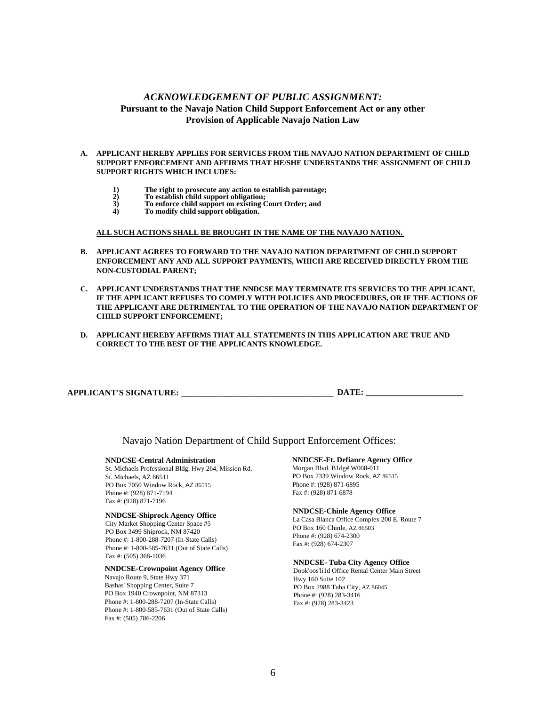## *ACKNOWLEDGEMENT OF PUBLIC ASSIGNMENT:*  **Pursuant to the Navajo Nation Child Support Enforcement Act or any other Provision of Applicable Navajo Nation Law**

#### **A. APPLICANT HEREBY APPLIES FOR SERVICES FROM THE NAVAJO NATION DEPARTMENT OF CHILD SUPPORT ENFORCEMENT AND AFFIRMS THAT HE/SHE UNDERSTANDS THE ASSIGNMENT OF CHILD SUPPORT RIGHTS WHICH INCLUDES:**

- **1) The right to prosecute any action to establish parentage;** 
	- **2) To establish child support obligation;**
- **3) To enforce child support on existing Court Order; and** 
	- **4) To modify child support obligation.**

#### **ALL SUCH ACTIONS SHALL BE BROUGHT IN THE NAME OF THE NAVAJO NATION.**

- **B. APPLICANT AGREES TO FORWARD TO THE NAVAJO NATION DEPARTMENT OF CHILD SUPPORT ENFORCEMENT ANY AND ALL SUPPORT PAYMENTS, WHICH ARE RECEIVED DIRECTLY FROM THE NON-CUSTODIAL PARENT;**
- **C. APPLICANT UNDERSTANDS THAT THE NNDCSE MAY TERMINATE ITS SERVICES TO THE APPLICANT, IF THE APPLICANT REFUSES TO COMPLY WITH POLICIES AND PROCEDURES, OR IF THE ACTIONS OF THE APPLICANT ARE DETRIMENTAL TO THE OPERATION OF THE NAVAJO NATION DEPARTMENT OF CHILD SUPPORT ENFORCEMENT;**
- **D. APPLICANT HEREBY AFFIRMS THAT ALL STATEMENTS IN THIS APPLICATION ARE TRUE AND CORRECT TO THE BEST OF THE APPLICANTS KNOWLEDGE.**

Navajo Nation Department of Child Support Enforcement Offices:

#### **NNDCSE-Central Administration**

St. Michaels Professional Bldg. Hwy 264, Mission Rd. St. Michaels, AZ 86511 PO Box 7050 Window Rock, AZ 86515 Phone #: (928) 871-7194 Fax #: (928) 871-7196

#### **NNDCSE-Shiprock Agency Office**

City Market Shopping Center Space #5 PO Box 3499 Shiprock, NM 87420 Phone #: 1-800-288-7207 (In-State Calls) Phone #: 1-800-585-7631 (Out of State Calls) Fax #: (505) 368-1036

#### **NNDCSE-Crownpoint Agency Office**

Navajo Route 9, State Hwy 371 Bashas' Shopping Center, Suite 7 PO Box 1940 Crownpoint, NM 87313 Phone #: 1-800-288-7207 (In-State Calls) Phone #: 1-800-585-7631 (Out of State Calls) Fax #: (505) 786-2206

### **NNDCSE-Ft. Defiance Agency Office**

Morgan Blvd. B1dg# W008-011 PO Box 2339 Window Rock, AZ 86515 Phone #: (928) 871-6895 Fax #: (928) 871-6878

#### **NNDCSE-Chinle Agency Office**

La Casa Blanca Office Complex 200 E. Route 7 PO Box 160 Chinle, AZ 86503 Phone #: (928) 674-2300 Fax #: (928) 674-2307

#### **NNDCSE- Tuba City Agency Office**

Dook'oos'li1d Office Rental Center Main Street Hwy 160 Suite 102 PO Box 2988 Tuba City, AZ 86045 Phone #: (928) 283-3416 Fax #: (928) 283-3423